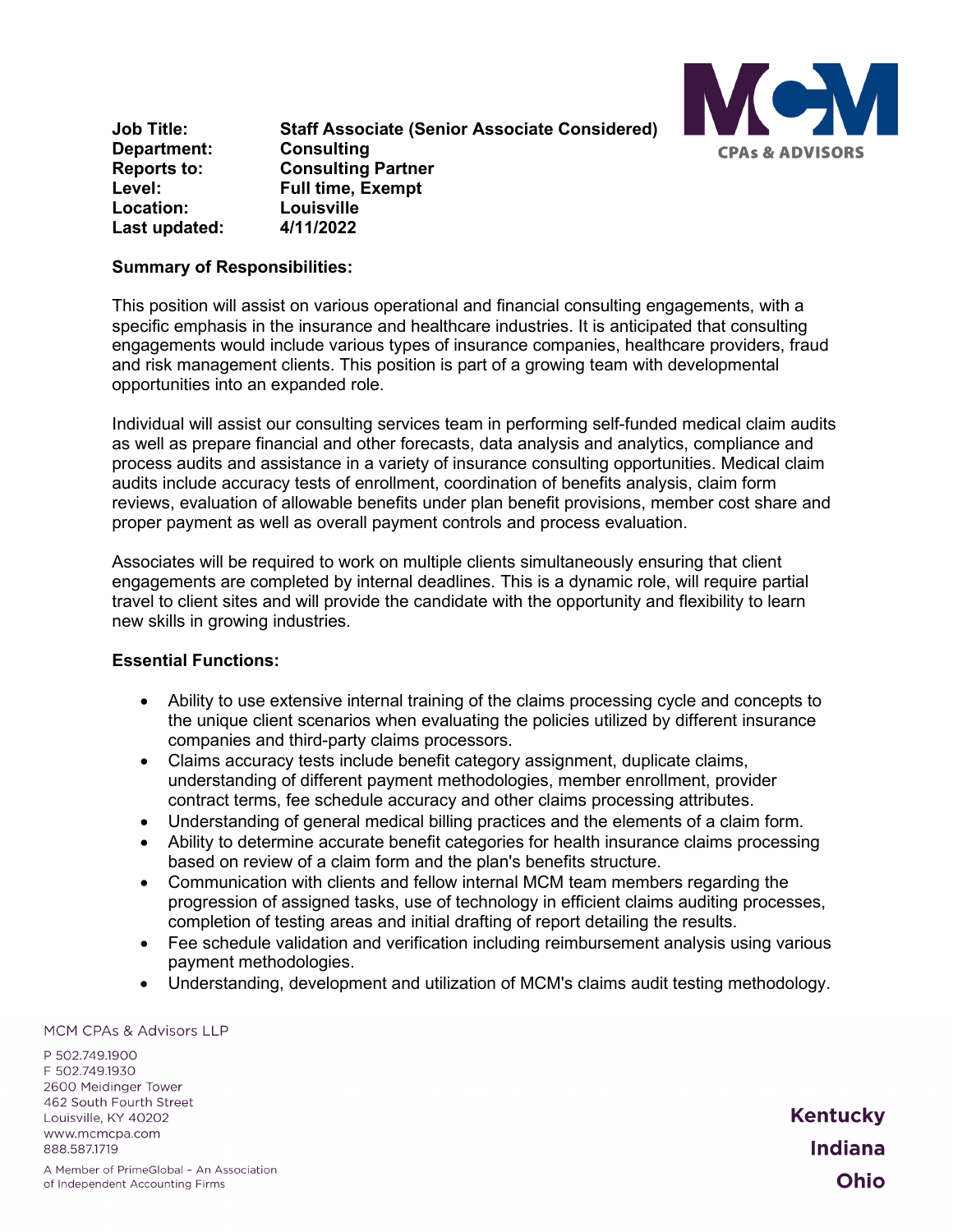

**Job Title: Staff Associate (Senior Associate Considered) Department: Consulting Reports to: Consulting Partner Full time, Exempt<br>Louisville Location:** Louisville<br>
Last undated: 4/11/2022 **Last updated:** 

## **Summary of Responsibilities:**

This position will assist on various operational and financial consulting engagements, with a specific emphasis in the insurance and healthcare industries. It is anticipated that consulting engagements would include various types of insurance companies, healthcare providers, fraud and risk management clients. This position is part of a growing team with developmental opportunities into an expanded role.

Individual will assist our consulting services team in performing self-funded medical claim audits as well as prepare financial and other forecasts, data analysis and analytics, compliance and process audits and assistance in a variety of insurance consulting opportunities. Medical claim audits include accuracy tests of enrollment, coordination of benefits analysis, claim form reviews, evaluation of allowable benefits under plan benefit provisions, member cost share and proper payment as well as overall payment controls and process evaluation.

Associates will be required to work on multiple clients simultaneously ensuring that client engagements are completed by internal deadlines. This is a dynamic role, will require partial travel to client sites and will provide the candidate with the opportunity and flexibility to learn new skills in growing industries.

### **Essential Functions:**

- Ability to use extensive internal training of the claims processing cycle and concepts to the unique client scenarios when evaluating the policies utilized by different insurance companies and third-party claims processors.
- Claims accuracy tests include benefit category assignment, duplicate claims, understanding of different payment methodologies, member enrollment, provider contract terms, fee schedule accuracy and other claims processing attributes.
- Understanding of general medical billing practices and the elements of a claim form.
- Ability to determine accurate benefit categories for health insurance claims processing based on review of a claim form and the plan's benefits structure.
- Communication with clients and fellow internal MCM team members regarding the progression of assigned tasks, use of technology in efficient claims auditing processes, completion of testing areas and initial drafting of report detailing the results.
- Fee schedule validation and verification including reimbursement analysis using various payment methodologies.
- Understanding, development and utilization of MCM's claims audit testing methodology.

#### MCM CPAs & Advisors LLP

P 502.749.1900 F 502.749.1930 2600 Meidinger Tower 462 South Fourth Street Louisville, KY 40202 www.mcmcpa.com 888.587.1719

**Kentucky Indiana** Ohio

A Member of PrimeGlobal - An Association of Independent Accounting Firms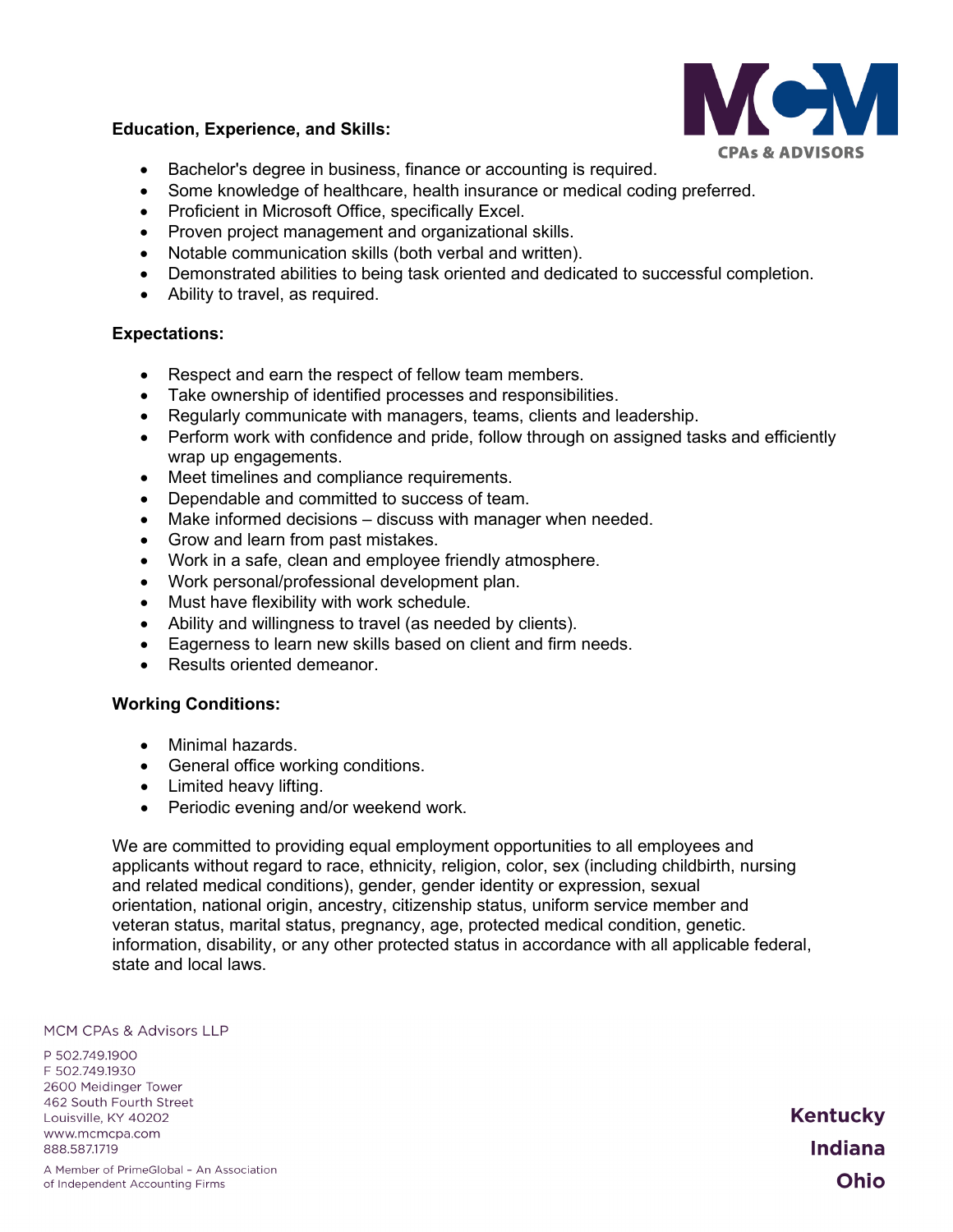

## **Education, Experience, and Skills:**

- Bachelor's degree in business, finance or accounting is required.
- Some knowledge of healthcare, health insurance or medical coding preferred.
- Proficient in Microsoft Office, specifically Excel.
- Proven project management and organizational skills.
- Notable communication skills (both verbal and written).
- Demonstrated abilities to being task oriented and dedicated to successful completion.
- Ability to travel, as required.

# **Expectations:**

- Respect and earn the respect of fellow team members.
- Take ownership of identified processes and responsibilities.
- Regularly communicate with managers, teams, clients and leadership.
- Perform work with confidence and pride, follow through on assigned tasks and efficiently wrap up engagements.
- Meet timelines and compliance requirements.
- Dependable and committed to success of team.
- Make informed decisions discuss with manager when needed.
- Grow and learn from past mistakes.
- Work in a safe, clean and employee friendly atmosphere.
- Work personal/professional development plan.
- Must have flexibility with work schedule.
- Ability and willingness to travel (as needed by clients).
- Eagerness to learn new skills based on client and firm needs.
- Results oriented demeanor.

# **Working Conditions:**

- Minimal hazards.
- General office working conditions.
- Limited heavy lifting.
- Periodic evening and/or weekend work.

We are committed to providing equal employment opportunities to all employees and applicants without regard to race, ethnicity, religion, color, sex (including childbirth, nursing and related medical conditions), gender, gender identity or expression, sexual orientation, national origin, ancestry, citizenship status, uniform service member and veteran status, marital status, pregnancy, age, protected medical condition, genetic. information, disability, or any other protected status in accordance with all applicable federal, state and local laws.

#### **MCM CPAs & Advisors LLP**

P 502.749.1900 F 502.749.1930 2600 Meidinger Tower 462 South Fourth Street Louisville, KY 40202 www.mcmcpa.com 888.587.1719

A Member of PrimeGlobal - An Association of Independent Accounting Firms

**Kentucky Indiana** Ohio